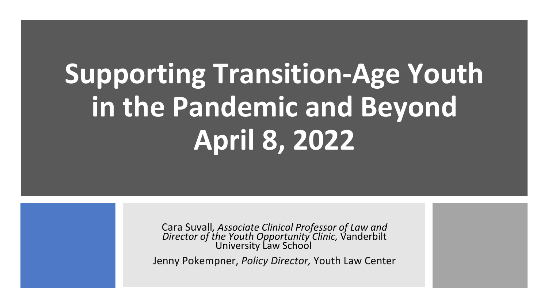# **Supporting Transition-Age Youth in the Pandemic and Beyond April 8, 2022**

Cara Suvall*, Associate Clinical Professor of Law and Director of the Youth Opportunity Clinic,* Vanderbilt University Law School

Jenny Pokempner, *Policy Director,* Youth Law Center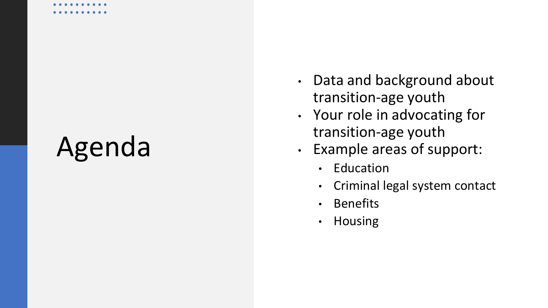### Agenda

- Data and background about transition -age youth
- Your role in advocating for transition -age youth
- Example areas of support:
	- Education
	- Criminal legal system contact
	- Benefits
	- Housing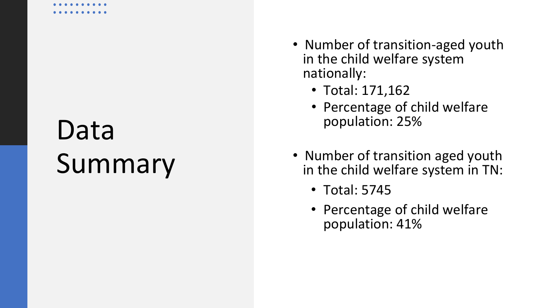### Data Summary

- Number of transition -aged youth in the child welfare system nationally:
	- Total: 171,162
	- Percentage of child welfare population: 25%
- Number of transition aged youth in the child welfare system in TN:
	- Total: 5745
	- Percentage of child welfare population: 41%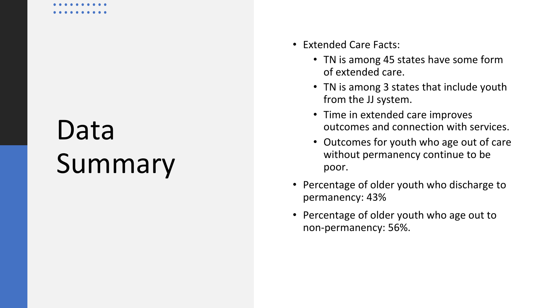### Data Summary

- Extended Care Facts:
	- TN is among 45 states have some form of extended care.
	- TN is among 3 states that include youth from the JJ system.
	- Time in extended care improves outcomes and connection with services.
	- Outcomes for youth who age out of care without permanency continue to be poor.
- Percentage of older youth who discharge to permanency: 43%
- Percentage of older youth who age out to non -permanency: 56%.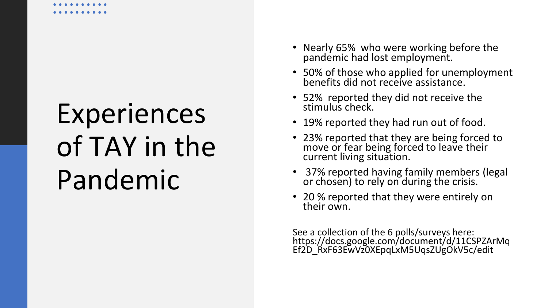# Experiences of TAY in the Pandemic

- Nearly 65% who were working before the pandemic had lost employment.
- 50% of those who applied for unemployment benefits did not receive assistance.
- 52% reported they did not receive the stimulus check.
- 19% reported they had run out of food.
- 23% reported that they are being forced to move or fear being forced to leave their current living situation.
- 37% reported having family members (legal or chosen) to rely on during the crisis.
- 20 % reported that they were entirely on their own.

See a collection of the 6 polls/surveys here: https://docs.google.com/document/d/11CSPZArMq Ef2D\_RxF63EwVz0XEpqLxM5UqsZUgOkV5c/edit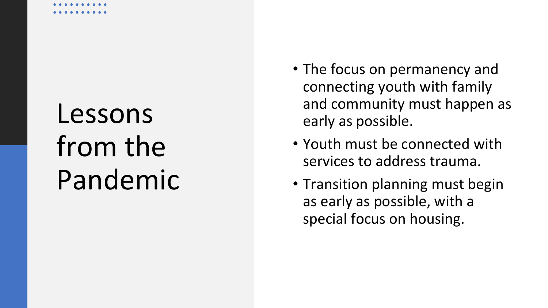### Lessons from the Pandemic

- The focus on permanency and connecting youth with family and community must happen as early as possible.
- Youth must be connected with services to address trauma.
- Transition planning must begin as early as possible, with a special focus on housing.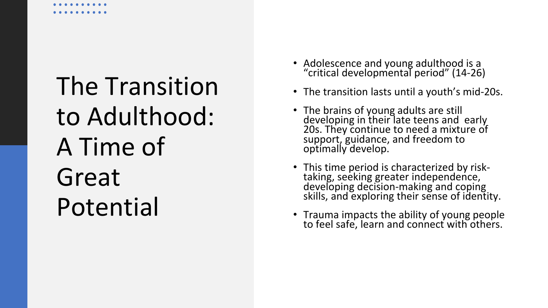The Transition to Adulthood: A Time of Great Potential

- Adolescence and young adulthood is a "critical developmental period" (14-26)
- The transition lasts until a youth's mid-20s.
- The brains of young adults are still developing in their late teens and early 20s. They continue to need a mixture of support, guidance, and freedom to optimally develop.
- This time period is characterized by risk-<br>taking, seeking greater independence,<br>developing decision-making and coping skills, and exploring their sense of identity.
- Trauma impacts the ability of young people to feel safe, learn and connect with others.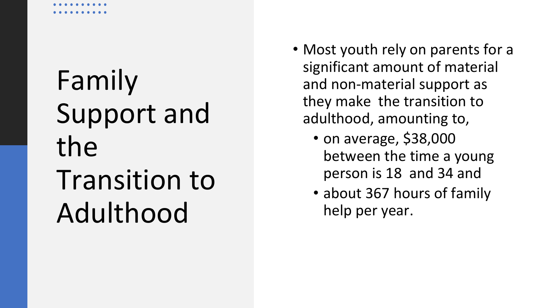# Family Support and the Transition to

### Adulthood

- Most youth rely on parents for a significant amount of material and non-material support as they make the transition to adulthood, amounting to,
	- on average, \$38,000 between the time a young person is 18 and 34 and
	- about 367 hours of family help per year.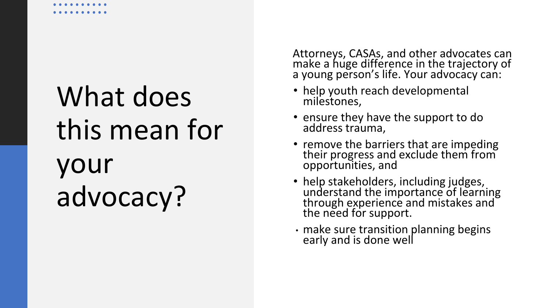# What does this mean for your advocacy?

Attorneys, CASAs, and other advocates can make a huge difference in the trajectory of a young person's life. Your advocacy can:

- help youth reach developmental milestones,
- ensure they have the support to do address trauma,
- remove the barriers that are impeding their progress and exclude them from opportunities, and
- help stakeholders, including judges, understand the importance of learning through experience and mistakes and the need for support.
- make sure transition planning begins early and is done well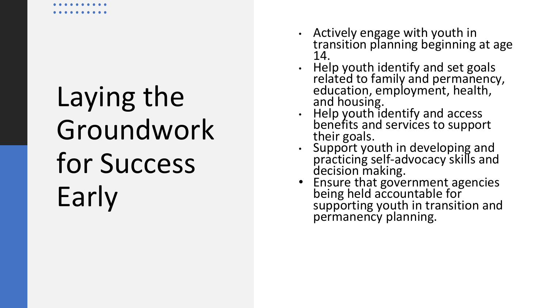# Laying the Groundwork for Success Early

- Actively engage with youth in transition planning beginning at age 14.
- Help youth identify and set goals related to family and permanency, education, employment, health, and housing.
- Help youth identify and access benefits and services to support their goals.
- Support youth in developing and practicing self -advocacy skills and decision making.
- Ensure that government agencies being held accountable for supporting youth in transition and permanency planning.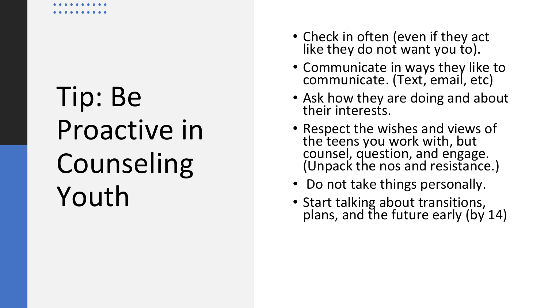# Tip: Be Proactive in Counseling Youth

- Check in often (even if they act like they do not want you to).
- Communicate in ways they like to communicate. (Text, email, etc)
- Ask how they are doing and about their interests.
- Respect the wishes and views of the teens you work with, but counsel, question, and engage. (Unpack the nos and resistance.)
- Do not take things personally.
- Start talking about transitions, plans, and the future early (by 14)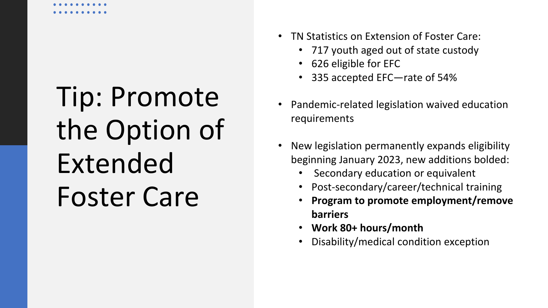# Tip: Promote the Option of Extended Foster Care

- TN Statistics on Extension of Foster Care:
	- 717 youth aged out of state custody
	- 626 eligible for EFC
	- 335 accepted EFC—rate of 54%
- Pandemic-related legislation waived education requirements
- New legislation permanently expands eligibility beginning January 2023, new additions bolded:
	- Secondary education or equivalent
	- Post-secondary/career/technical training
	- **Program to promote employment/remove barriers**
	- **Work 80+ hours/month**
	- Disability/medical condition exception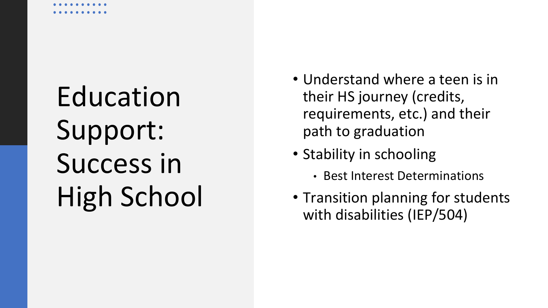# Education Support: Success in High School

- Understand where a teen is in their HS journey (credits, requirements, etc.) and their path to graduation
- Stability in schooling
	- Best Interest Determinations
- Transition planning for students with disabilities (IEP/504)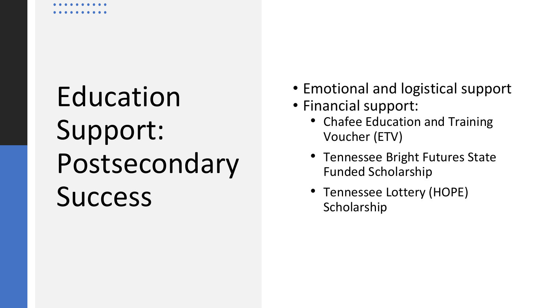# Education Support: Postsecondary Success

- Emotional and logistical support
- Financial support:
	- Chafee Education and Training Voucher (ETV)
	- Tennessee Bright Futures State Funded Scholarship
	- Tennessee Lottery (HOPE) Scholarship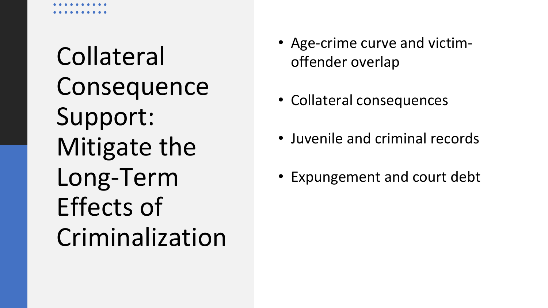Collateral **Consequence** Support: Mitigate the Long-Term Effects of Criminalization

- Age-crime curve and victimoffender overlap
- Collateral consequences
- Juvenile and criminal records
- Expungement and court debt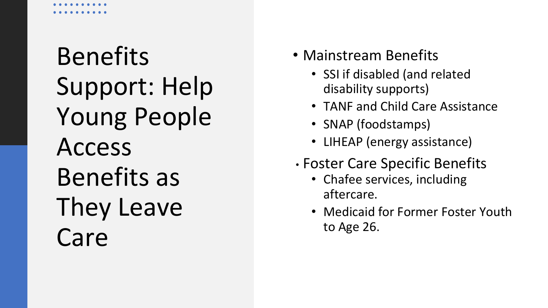### Benefits Support: Help Young People Access Benefits as They Leave Care

- Mainstream Benefits
	- SSI if disabled (and related disability supports)
	- TANF and Child Care Assistance
	- SNAP (foodstamps)
	- LIHEAP (energy assistance)
- Foster Care Specific Benefits
	- Chafee services, including aftercare.
	- Medicaid for Former Foster Youth to Age 26.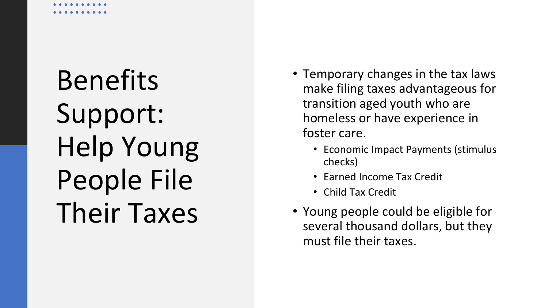# Benefits Support: Help Young People File Their Taxes

- Temporary changes in the tax laws make filing taxes advantageous for transition aged youth who are homeless or have experience in foster care.
	- Economic Impact Payments (stimulus checks)
	- Earned Income Tax Credit
	- Child Tax Credit
- Young people could be eligible for several thousand dollars, but they must file their taxes.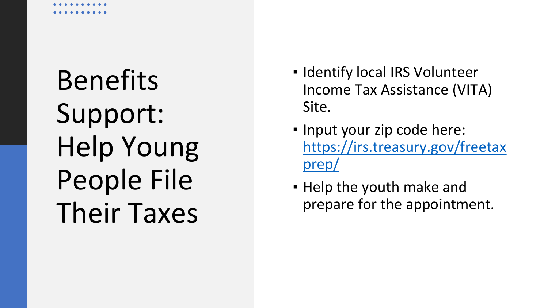Benefits Support: Help Young People File Their Taxes

- **.** Identify local IRS Volunteer Income Tax Assistance (VITA) Site.
- Input your zip code here: [https://irs.treasury.gov/freetax](https://irs.treasury.gov/freetaxprep/) prep/
- **.** Help the youth make and prepare for the appointment.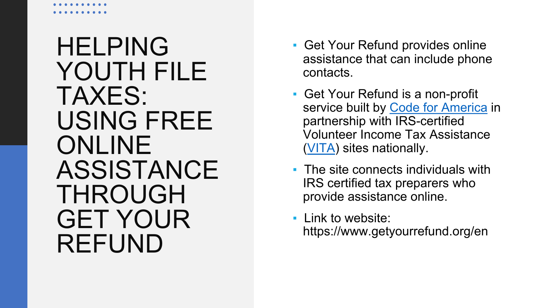### HELPING YOUTH FILE TAXES: USING FREE ONLINE ASSISTANCE THROUGH GET YOUR REFUND

- Get Your Refund provides online assistance that can include phone contacts.
- **Get Your Refund is a non-profit** service built by [Code for America](https://www.codeforamerica.org/) in partnership with IRS-certified Volunteer Income Tax Assistance [\(VITA](https://www.irs.gov/individuals/free-tax-return-preparation-for-you-by-volunteers)) sites nationally.
- The site connects individuals with IRS certified tax preparers who provide assistance online.
- **Link to website:** https://www.getyourrefund.org/en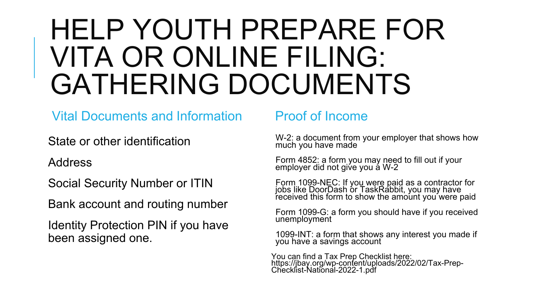### HELP YOUTH PREPARE FOR VITA OR ONLINE FILING: GATHERING DOCUMENTS

### Vital Documents and Information

State or other identification

Address

Social Security Number or ITIN

Bank account and routing number

Identity Protection PIN if you have been assigned one.

### Proof of Income

W-2: a document from your employer that shows how much you have made

Form 4852: a form you may need to fill out if your employer did not giv́e you á W-2

Form 1099-NEC: If you were paid as a contractor for<br>jobs like DoorDash or TaskRabbit, you may have received this form to show the amount you´were paid

Form 1099-G: a form you should have if you received unemployment

1099-INT: a form that shows any interest you made if you have a savings account

You can find a Tax Prep Checklist here: https://jbay.org/wp-content/uploads/2022/02/Tax-Prep-<br>Checklist-National-2022-1.pdf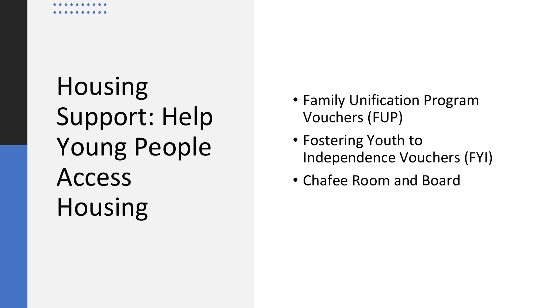Housing Support: Help Young People Access Housing

- Family Unification Program Vouchers (FUP)
- Fostering Youth to Independence Vouchers (FYI)
- Chafee Room and Board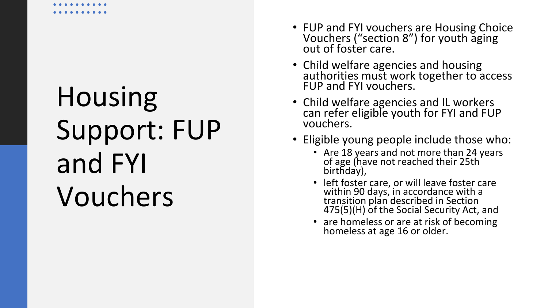# Housing Support: FUP and FYI Vouchers

- FUP and FYI vouchers are Housing Choice Vouchers ("section 8") for youth aging out of foster care.
- Child welfare agencies and housing authorities must work together to access FUP and FYI vouchers.
- Child welfare agencies and IL workers can refer eligible youth for FYI and FUP vouchers.
- Eligible young people include those who:
	- Are 18 years and not more than 24 years of age (have not reached their 25th birthday),
	- left foster care, or will leave foster care within 90 days, in accordance with a transition plan described in Section 475(5)(H) of the Social Security Act, and
	- are homeless or are at risk of becoming homeless at age 16 or older.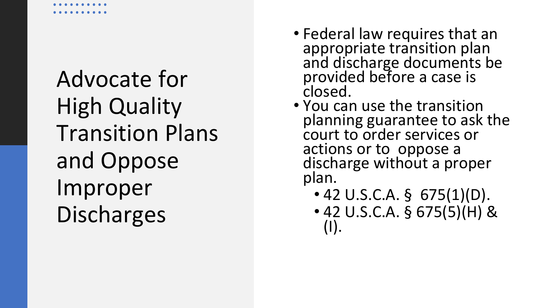Advocate for High Quality Transition Plans and Oppose Improper Discharges

- Federal law requires that an appropriate transition plan and discharge documents be provided before a case is closed.
- You can use the transition planning guarantee to ask the court to order services or actions or to oppose a discharge without a proper plan.
	- 42 U.S.C.A. § 675(1)(D).
	- 42 U.S.C.A.  $\S$  675(5)(H) & (I).